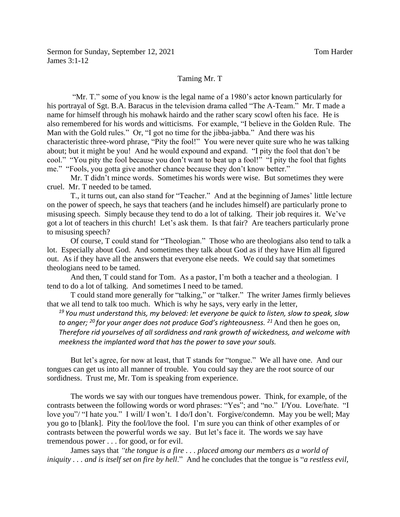## Taming Mr. T

"Mr. T." some of you know is the legal name of a 1980's actor known particularly for his portrayal of Sgt. B.A. Baracus in the television drama called "The A-Team." Mr. T made a name for himself through his mohawk hairdo and the rather scary scowl often his face. He is also remembered for his words and witticisms. For example, "I believe in the Golden Rule. The Man with the Gold rules." Or, "I got no time for the jibba-jabba." And there was his characteristic three-word phrase, "Pity the fool!" You were never quite sure who he was talking about; but it might be you! And he would expound and expand. "I pity the fool that don't be cool." "You pity the fool because you don't want to beat up a fool!" "I pity the fool that fights me." "Fools, you gotta give another chance because they don't know better."

Mr. T didn't mince words. Sometimes his words were wise. But sometimes they were cruel. Mr. T needed to be tamed.

T., it turns out, can also stand for "Teacher." And at the beginning of James' little lecture on the power of speech, he says that teachers (and he includes himself) are particularly prone to misusing speech. Simply because they tend to do a lot of talking. Their job requires it. We've got a lot of teachers in this church! Let's ask them. Is that fair? Are teachers particularly prone to misusing speech?

Of course, T could stand for "Theologian." Those who are theologians also tend to talk a lot. Especially about God. And sometimes they talk about God as if they have Him all figured out. As if they have all the answers that everyone else needs. We could say that sometimes theologians need to be tamed.

And then, T could stand for Tom. As a pastor, I'm both a teacher and a theologian. I tend to do a lot of talking. And sometimes I need to be tamed.

T could stand more generally for "talking," or "talker." The writer James firmly believes that we all tend to talk too much. Which is why he says, very early in the letter,

*<sup>19</sup> You must understand this, my beloved: let everyone be quick to listen, slow to speak, slow to anger; <sup>20</sup> for your anger does not produce God's righteousness. <sup>21</sup>* And then he goes on, *Therefore rid yourselves of all sordidness and rank growth of wickedness, and welcome with meekness the implanted word that has the power to save your souls.*

But let's agree, for now at least, that T stands for "tongue." We all have one. And our tongues can get us into all manner of trouble. You could say they are the root source of our sordidness. Trust me, Mr. Tom is speaking from experience.

The words we say with our tongues have tremendous power. Think, for example, of the contrasts between the following words or word phrases: "Yes"; and "no." I/You. Love/hate. "I love you"/ "I hate you." I will/ I won't. I do/I don't. Forgive/condemn. May you be well; May you go to [blank]. Pity the fool/love the fool. I'm sure you can think of other examples of or contrasts between the powerful words we say. But let's face it. The words we say have tremendous power . . . for good, or for evil.

James says that *"the tongue is a fire . . . placed among our members as a world of iniquity . . . and is itself set on fire by hell*." And he concludes that the tongue is "*a restless evil,*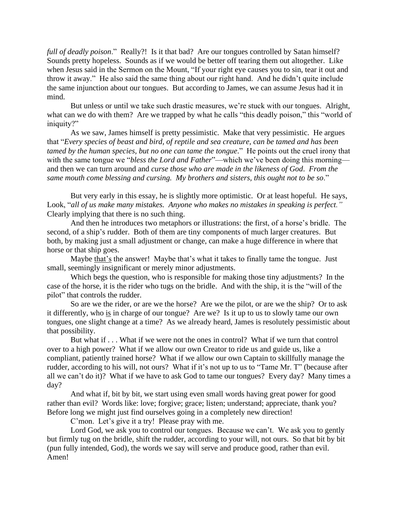*full of deadly poison*." Really?! Is it that bad? Are our tongues controlled by Satan himself? Sounds pretty hopeless. Sounds as if we would be better off tearing them out altogether. Like when Jesus said in the Sermon on the Mount, "If your right eye causes you to sin, tear it out and throw it away." He also said the same thing about our right hand. And he didn't quite include the same injunction about our tongues. But according to James, we can assume Jesus had it in mind.

But unless or until we take such drastic measures, we're stuck with our tongues. Alright, what can we do with them? Are we trapped by what he calls "this deadly poison," this "world of iniquity?"

As we saw, James himself is pretty pessimistic. Make that very pessimistic. He argues that "*Every species of beast and bird, of reptile and sea creature, can be tamed and has been tamed by the human species, but no one can tame the tongue*." He points out the cruel irony that with the same tongue we "*bless the Lord and Father*"—which we've been doing this morning and then we can turn around and *curse those who are made in the likeness of God*. *From the same mouth come blessing and cursing. My brothers and sisters, this ought not to be so*."

But very early in this essay, he is slightly more optimistic. Or at least hopeful. He says, Look, "*all of us make many mistakes. Anyone who makes no mistakes in speaking is perfect."* Clearly implying that there is no such thing.

And then he introduces two metaphors or illustrations: the first, of a horse's bridle. The second, of a ship's rudder. Both of them are tiny components of much larger creatures. But both, by making just a small adjustment or change, can make a huge difference in where that horse or that ship goes.

Maybe that's the answer! Maybe that's what it takes to finally tame the tongue. Just small, seemingly insignificant or merely minor adjustments.

Which begs the question, who is responsible for making those tiny adjustments? In the case of the horse, it is the rider who tugs on the bridle. And with the ship, it is the "will of the pilot" that controls the rudder.

So are we the rider, or are we the horse? Are we the pilot, or are we the ship? Or to ask it differently, who is in charge of our tongue? Are we? Is it up to us to slowly tame our own tongues, one slight change at a time? As we already heard, James is resolutely pessimistic about that possibility.

But what if . . . What if we were not the ones in control? What if we turn that control over to a high power? What if we allow our own Creator to ride us and guide us, like a compliant, patiently trained horse? What if we allow our own Captain to skillfully manage the rudder, according to his will, not ours? What if it's not up to us to "Tame Mr. T" (because after all we can't do it)? What if we have to ask God to tame our tongues? Every day? Many times a day?

And what if, bit by bit, we start using even small words having great power for good rather than evil? Words like: love; forgive; grace; listen; understand; appreciate, thank you? Before long we might just find ourselves going in a completely new direction!

C'mon. Let's give it a try! Please pray with me.

Lord God, we ask you to control our tongues. Because we can't. We ask you to gently but firmly tug on the bridle, shift the rudder, according to your will, not ours. So that bit by bit (pun fully intended, God), the words we say will serve and produce good, rather than evil. Amen!